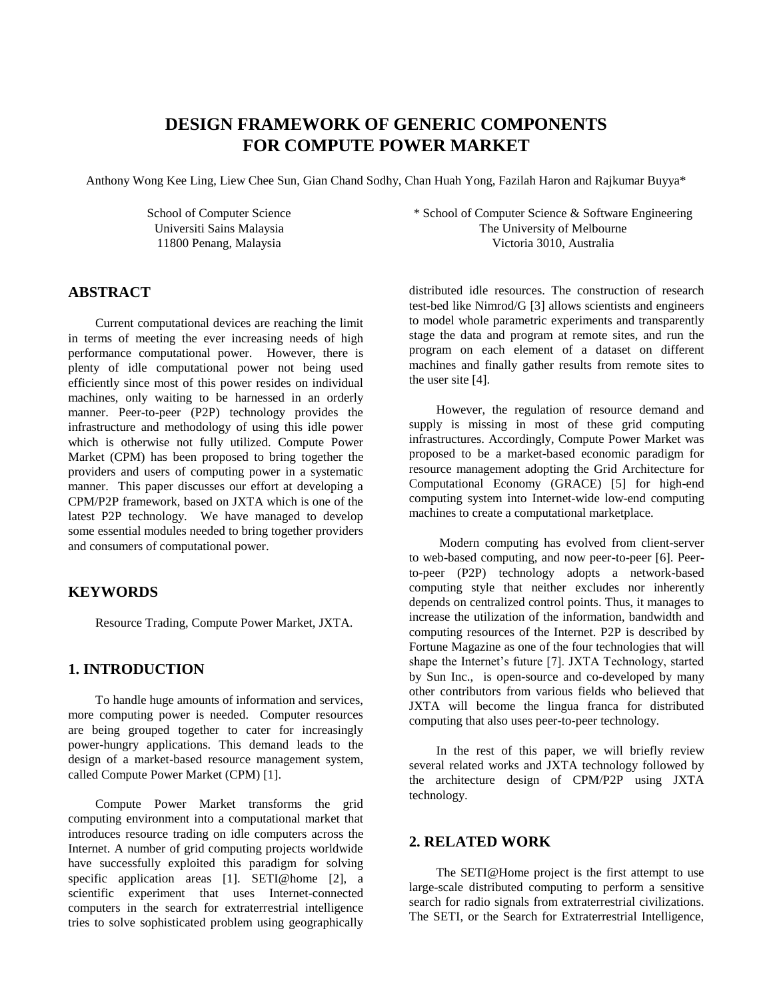# **DESIGN FRAMEWORK OF GENERIC COMPONENTS FOR COMPUTE POWER MARKET**

Anthony Wong Kee Ling, Liew Chee Sun, Gian Chand Sodhy, Chan Huah Yong, Fazilah Haron and Rajkumar Buyya\*

School of Computer Science Universiti Sains Malaysia 11800 Penang, Malaysia

# **ABSTRACT**

Current computational devices are reaching the limit in terms of meeting the ever increasing needs of high performance computational power. However, there is plenty of idle computational power not being used efficiently since most of this power resides on individual machines, only waiting to be harnessed in an orderly manner. Peer-to-peer (P2P) technology provides the infrastructure and methodology of using this idle power which is otherwise not fully utilized. Compute Power Market (CPM) has been proposed to bring together the providers and users of computing power in a systematic manner. This paper discusses our effort at developing a CPM/P2P framework, based on JXTA which is one of the latest P2P technology. We have managed to develop some essential modules needed to bring together providers and consumers of computational power.

## **KEYWORDS**

Resource Trading, Compute Power Market, JXTA.

#### **1. INTRODUCTION**

To handle huge amounts of information and services, more computing power is needed. Computer resources are being grouped together to cater for increasingly power-hungry applications. This demand leads to the design of a market-based resource management system, called Compute Power Market (CPM) [1].

Compute Power Market transforms the grid computing environment into a computational market that introduces resource trading on idle computers across the Internet. A number of grid computing projects worldwide have successfully exploited this paradigm for solving specific application areas [1]. SETI@home [2], a scientific experiment that uses Internet-connected computers in the search for extraterrestrial intelligence tries to solve sophisticated problem using geographically \* School of Computer Science & Software Engineering The University of Melbourne Victoria 3010, Australia

distributed idle resources. The construction of research test-bed like Nimrod/G [3] allows scientists and engineers to model whole parametric experiments and transparently stage the data and program at remote sites, and run the program on each element of a dataset on different machines and finally gather results from remote sites to the user site [4].

However, the regulation of resource demand and supply is missing in most of these grid computing infrastructures. Accordingly, Compute Power Market was proposed to be a market-based economic paradigm for resource management adopting the Grid Architecture for Computational Economy (GRACE) [5] for high-end computing system into Internet-wide low-end computing machines to create a computational marketplace.

Modern computing has evolved from client-server to web-based computing, and now peer-to-peer [6]. Peerto-peer (P2P) technology adopts a network-based computing style that neither excludes nor inherently depends on centralized control points. Thus, it manages to increase the utilization of the information, bandwidth and computing resources of the Internet. P2P is described by Fortune Magazine as one of the four technologies that will shape the Internet's future [7]. JXTA Technology, started by Sun Inc., is open-source and co-developed by many other contributors from various fields who believed that JXTA will become the lingua franca for distributed computing that also uses peer-to-peer technology.

In the rest of this paper, we will briefly review several related works and JXTA technology followed by the architecture design of CPM/P2P using JXTA technology.

#### **2. RELATED WORK**

The SETI@Home project is the first attempt to use large-scale distributed computing to perform a sensitive search for radio signals from extraterrestrial civilizations. The SETI, or the Search for Extraterrestrial Intelligence,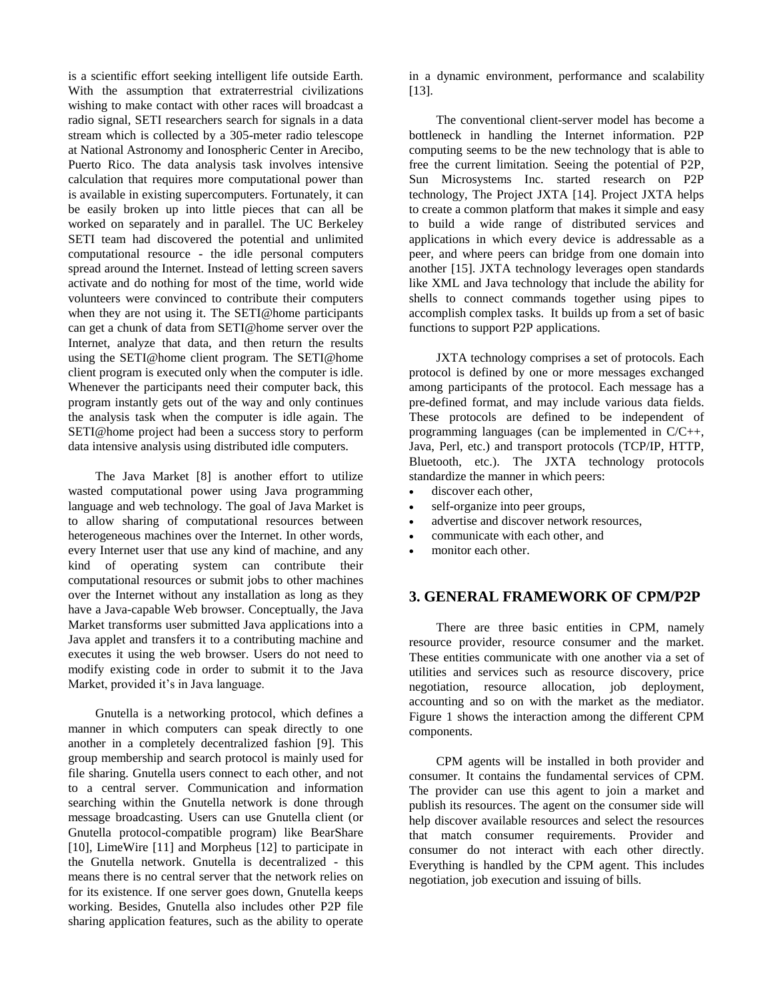is a scientific effort seeking intelligent life outside Earth. With the assumption that extraterrestrial civilizations wishing to make contact with other races will broadcast a radio signal, SETI researchers search for signals in a data stream which is collected by a 305-meter radio telescope at National Astronomy and Ionospheric Center in Arecibo, Puerto Rico. The data analysis task involves intensive calculation that requires more computational power than is available in existing supercomputers. Fortunately, it can be easily broken up into little pieces that can all be worked on separately and in parallel. The UC Berkeley SETI team had discovered the potential and unlimited computational resource - the idle personal computers spread around the Internet. Instead of letting screen savers activate and do nothing for most of the time, world wide volunteers were convinced to contribute their computers when they are not using it. The SETI@home participants can get a chunk of data from SETI@home server over the Internet, analyze that data, and then return the results using the SETI@home client program. The SETI@home client program is executed only when the computer is idle. Whenever the participants need their computer back, this program instantly gets out of the way and only continues the analysis task when the computer is idle again. The SETI@home project had been a success story to perform data intensive analysis using distributed idle computers.

The Java Market [8] is another effort to utilize wasted computational power using Java programming language and web technology. The goal of Java Market is to allow sharing of computational resources between heterogeneous machines over the Internet. In other words, every Internet user that use any kind of machine, and any kind of operating system can contribute their computational resources or submit jobs to other machines over the Internet without any installation as long as they have a Java-capable Web browser. Conceptually, the Java Market transforms user submitted Java applications into a Java applet and transfers it to a contributing machine and executes it using the web browser. Users do not need to modify existing code in order to submit it to the Java Market, provided it's in Java language.

Gnutella is a networking protocol, which defines a manner in which computers can speak directly to one another in a completely decentralized fashion [9]. This group membership and search protocol is mainly used for file sharing. Gnutella users connect to each other, and not to a central server. Communication and information searching within the Gnutella network is done through message broadcasting. Users can use Gnutella client (or Gnutella protocol-compatible program) like BearShare [10], LimeWire [11] and Morpheus [12] to participate in the Gnutella network. Gnutella is decentralized - this means there is no central server that the network relies on for its existence. If one server goes down, Gnutella keeps working. Besides, Gnutella also includes other P2P file sharing application features, such as the ability to operate

in a dynamic environment, performance and scalability [13].

The conventional client-server model has become a bottleneck in handling the Internet information. P2P computing seems to be the new technology that is able to free the current limitation. Seeing the potential of P2P, Sun Microsystems Inc. started research on P2P technology, The Project JXTA [14]. Project JXTA helps to create a common platform that makes it simple and easy to build a wide range of distributed services and applications in which every device is addressable as a peer, and where peers can bridge from one domain into another [15]. JXTA technology leverages open standards like XML and Java technology that include the ability for shells to connect commands together using pipes to accomplish complex tasks. It builds up from a set of basic functions to support P2P applications.

JXTA technology comprises a set of protocols. Each protocol is defined by one or more messages exchanged among participants of the protocol. Each message has a pre-defined format, and may include various data fields. These protocols are defined to be independent of programming languages (can be implemented in C/C++, Java, Perl, etc.) and transport protocols (TCP/IP, HTTP, Bluetooth, etc.). The JXTA technology protocols standardize the manner in which peers:

- discover each other,
- self-organize into peer groups,
- advertise and discover network resources,
- communicate with each other, and
- monitor each other.

#### **3. GENERAL FRAMEWORK OF CPM/P2P**

There are three basic entities in CPM, namely resource provider, resource consumer and the market. These entities communicate with one another via a set of utilities and services such as resource discovery, price negotiation, resource allocation, job deployment, accounting and so on with the market as the mediator. Figure 1 shows the interaction among the different CPM components.

CPM agents will be installed in both provider and consumer. It contains the fundamental services of CPM. The provider can use this agent to join a market and publish its resources. The agent on the consumer side will help discover available resources and select the resources that match consumer requirements. Provider and consumer do not interact with each other directly. Everything is handled by the CPM agent. This includes negotiation, job execution and issuing of bills.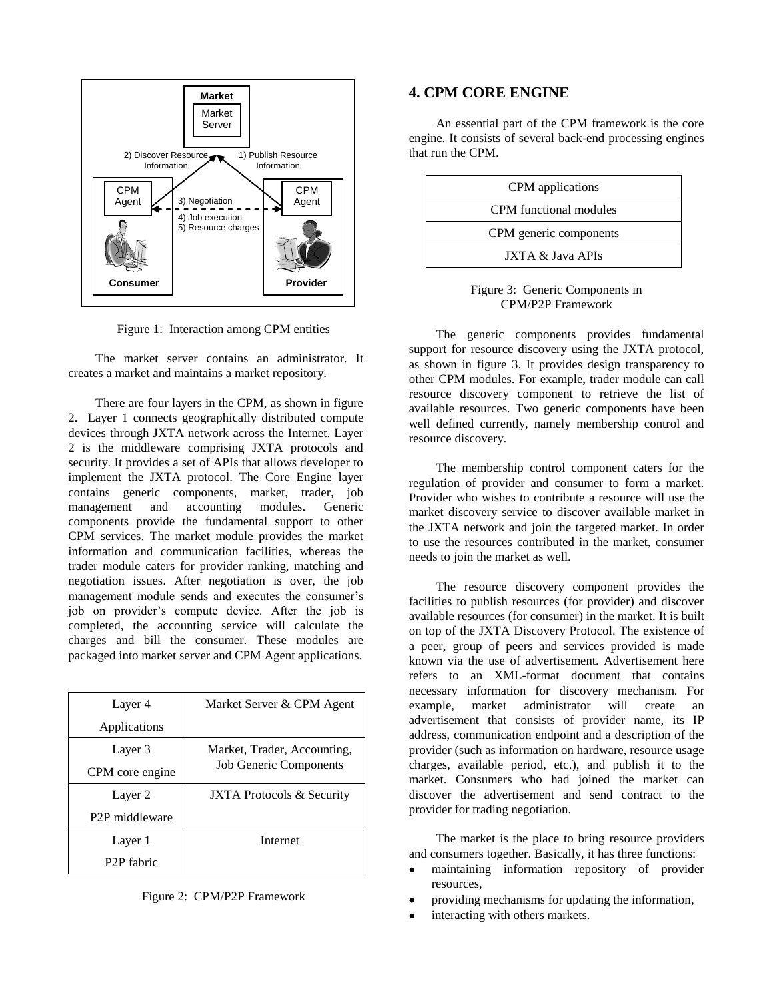

Figure 1: Interaction among CPM entities

The market server contains an administrator. It creates a market and maintains a market repository.

There are four layers in the CPM, as shown in figure 2. Layer 1 connects geographically distributed compute devices through JXTA network across the Internet. Layer 2 is the middleware comprising JXTA protocols and security. It provides a set of APIs that allows developer to implement the JXTA protocol. The Core Engine layer contains generic components, market, trader, job management and accounting modules. Generic components provide the fundamental support to other CPM services. The market module provides the market information and communication facilities, whereas the trader module caters for provider ranking, matching and negotiation issues. After negotiation is over, the job management module sends and executes the consumer's job on provider's compute device. After the job is completed, the accounting service will calculate the charges and bill the consumer. These modules are packaged into market server and CPM Agent applications.

| Layer 4                     | Market Server & CPM Agent                                    |
|-----------------------------|--------------------------------------------------------------|
| Applications                |                                                              |
| Layer 3                     | Market, Trader, Accounting,<br><b>Job Generic Components</b> |
| CPM core engine             |                                                              |
| Layer 2                     | <b>JXTA</b> Protocols & Security                             |
| P <sub>2</sub> P middleware |                                                              |
| Layer 1                     | Internet                                                     |
| P <sub>2</sub> P fabric     |                                                              |

Figure 2: CPM/P2P Framework

#### **4. CPM CORE ENGINE**

An essential part of the CPM framework is the core engine. It consists of several back-end processing engines that run the CPM.

| CPM applications            |
|-----------------------------|
| CPM functional modules      |
| CPM generic components      |
| <b>JXTA &amp; Java APIs</b> |

Figure 3: Generic Components in CPM/P2P Framework

The generic components provides fundamental support for resource discovery using the JXTA protocol, as shown in figure 3. It provides design transparency to other CPM modules. For example, trader module can call resource discovery component to retrieve the list of available resources. Two generic components have been well defined currently, namely membership control and resource discovery.

The membership control component caters for the regulation of provider and consumer to form a market. Provider who wishes to contribute a resource will use the market discovery service to discover available market in the JXTA network and join the targeted market. In order to use the resources contributed in the market, consumer needs to join the market as well.

The resource discovery component provides the facilities to publish resources (for provider) and discover available resources (for consumer) in the market. It is built on top of the JXTA Discovery Protocol. The existence of a peer, group of peers and services provided is made known via the use of advertisement. Advertisement here refers to an XML-format document that contains necessary information for discovery mechanism. For example, market administrator will create an advertisement that consists of provider name, its IP address, communication endpoint and a description of the provider (such as information on hardware, resource usage charges, available period, etc.), and publish it to the market. Consumers who had joined the market can discover the advertisement and send contract to the provider for trading negotiation.

The market is the place to bring resource providers and consumers together. Basically, it has three functions:

- maintaining information repository of provider resources,
- providing mechanisms for updating the information,
- interacting with others markets.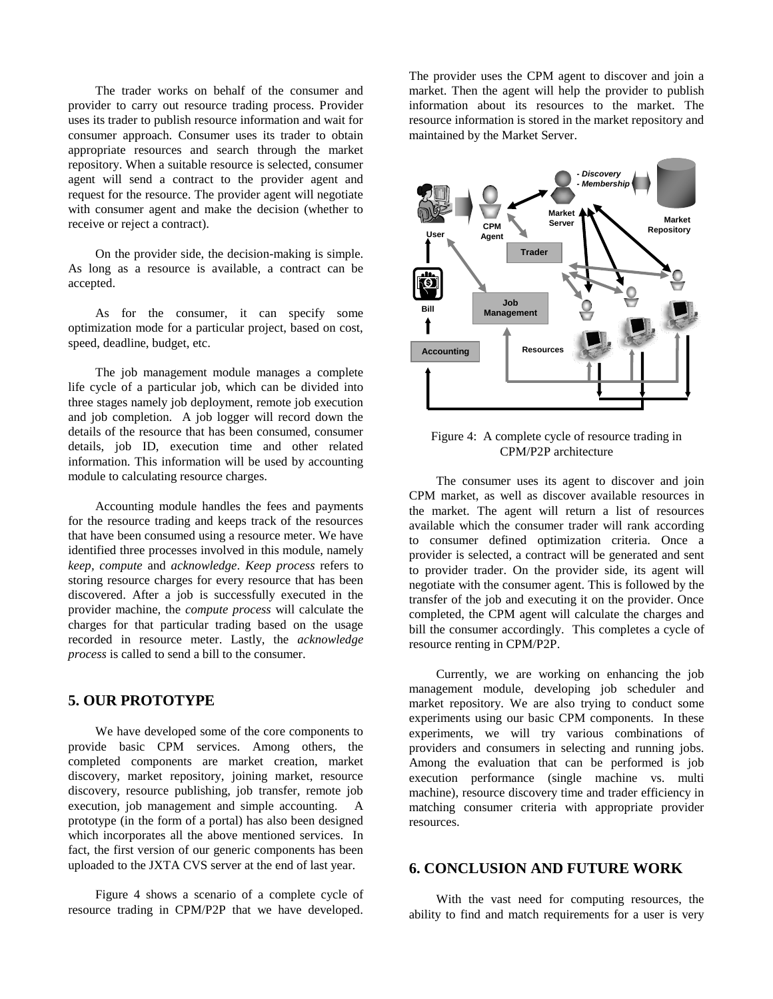The trader works on behalf of the consumer and provider to carry out resource trading process. Provider uses its trader to publish resource information and wait for consumer approach. Consumer uses its trader to obtain appropriate resources and search through the market repository. When a suitable resource is selected, consumer agent will send a contract to the provider agent and request for the resource. The provider agent will negotiate with consumer agent and make the decision (whether to receive or reject a contract).

On the provider side, the decision-making is simple. As long as a resource is available, a contract can be accepted.

As for the consumer, it can specify some optimization mode for a particular project, based on cost, speed, deadline, budget, etc.

The job management module manages a complete life cycle of a particular job, which can be divided into three stages namely job deployment, remote job execution and job completion. A job logger will record down the details of the resource that has been consumed, consumer details, job ID, execution time and other related information. This information will be used by accounting module to calculating resource charges.

Accounting module handles the fees and payments for the resource trading and keeps track of the resources that have been consumed using a resource meter. We have identified three processes involved in this module, namely *keep, compute* and *acknowledge*. *Keep process* refers to storing resource charges for every resource that has been discovered. After a job is successfully executed in the provider machine, the *compute process* will calculate the charges for that particular trading based on the usage recorded in resource meter. Lastly, the *acknowledge process* is called to send a bill to the consumer.

#### **5. OUR PROTOTYPE**

We have developed some of the core components to provide basic CPM services. Among others, the completed components are market creation, market discovery, market repository, joining market, resource discovery, resource publishing, job transfer, remote job execution, job management and simple accounting. A prototype (in the form of a portal) has also been designed which incorporates all the above mentioned services. In fact, the first version of our generic components has been uploaded to the JXTA CVS server at the end of last year.

Figure 4 shows a scenario of a complete cycle of resource trading in CPM/P2P that we have developed. The provider uses the CPM agent to discover and join a market. Then the agent will help the provider to publish information about its resources to the market. The resource information is stored in the market repository and maintained by the Market Server.



#### Figure 4: A complete cycle of resource trading in CPM/P2P architecture

The consumer uses its agent to discover and join CPM market, as well as discover available resources in the market. The agent will return a list of resources available which the consumer trader will rank according to consumer defined optimization criteria. Once a provider is selected, a contract will be generated and sent to provider trader. On the provider side, its agent will negotiate with the consumer agent. This is followed by the transfer of the job and executing it on the provider. Once completed, the CPM agent will calculate the charges and bill the consumer accordingly. This completes a cycle of resource renting in CPM/P2P.

Currently, we are working on enhancing the job management module, developing job scheduler and market repository. We are also trying to conduct some experiments using our basic CPM components. In these experiments, we will try various combinations of providers and consumers in selecting and running jobs. Among the evaluation that can be performed is job execution performance (single machine vs. multi machine), resource discovery time and trader efficiency in matching consumer criteria with appropriate provider resources.

#### **6. CONCLUSION AND FUTURE WORK**

With the vast need for computing resources, the ability to find and match requirements for a user is very